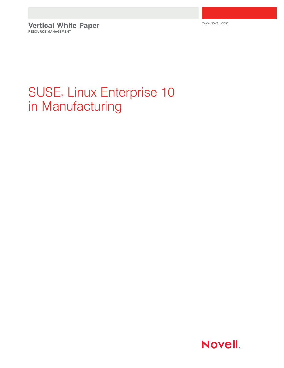www.novell.com

**Vertical White Paper RESOURCE MANAGEMENT**

# SUSE Linux Enterprise 10 in Manufacturing

**Novell.**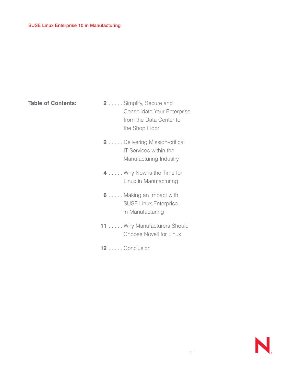**Table of Contents:**

- **2** . . . . . Simplify, Secure and Consolidate Your Enterprise from the Data Center to the Shop Floor
- **2** . . . . . Delivering Mission-critical IT Services within the Manufacturing Industry
- **4** . . . . . Why Now is the Time for Linux in Manufacturing
- **6** . . . . . Making an Impact with SUSE Linux Enterprise in Manufacturing
- **11** . . . . . Why Manufacturers Should Choose Novell for Linux
- **12** . . . . . Conclusion

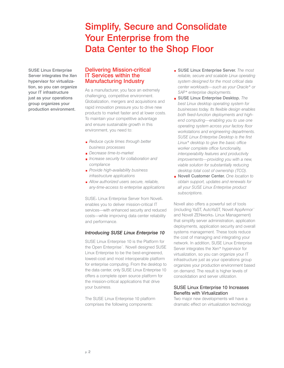# Simplify, Secure and Consolidate Your Enterprise from the Data Center to the Shop Floor

SUSE Linux Enterprise Server integrates the Xen hypervisor for virtualization, so you can organize your IT infrastructure just as your operations group organizes your production environment.

#### Delivering Mission-critical IT Services within the Manufacturing Industry

As a manufacturer, you face an extremely challenging, competitive environment. Globalization, mergers and acquisitions and rapid innovation pressure you to drive new products to market faster and at lower costs. To maintain your competitive advantage and ensure sustainable growth in this environment, you need to:

- *Reduce cycle times through better business processes*
- *Decrease time-to-market*
- *Increase security for collaboration and compliance*
- *Provide high-availability business infrastructure applications*
- *Allow authorized users secure, reliable, any-time-access to enterprise applications*

SUSE® Linux Enterprise Server from Novell® enables you to deliver mission-critical IT services—with enhanced security and reduced costs—while improving data center reliability and performance.

#### *Introducing SUSE Linux Enterprise 10*

SUSE Linux Enterprise 10 is the Platform for the Open Enterprise™. Novell designed SUSE Linux Enterprise to be the best-engineered, lowest-cost and most interoperable platform for enterprise computing. From the desktop to the data center, only SUSE Linux Enterprise 10 offers a complete open source platform for the mission-critical applications that drive your business.

The SUSE Linux Enterprise 10 platform comprises the following components:

- SUSE Linux Enterprise Server. *The most reliable, secure and scalable Linux operating system designed for the most critical data center workloads—such as your Oracle\* or SAP\* enterprise deployments.*
- SUSE Linux Enterprise Desktop. *The best Linux desktop operating system for businesses today. Its flexible design enables both fixed-function deployments and highend computing—enabling you to use one operating system across your factory floor workstations and engineering departments. SUSE Linux Enterprise Desktop is the first Linux\* desktop to give the basic office worker complete office functionality, interoperability features and productivity improvements—providing you with a new, viable solution for substantially reducing desktop total cost of ownership (TCO).*
- Novell Customer Center. *One location to obtain support, updates and renewals for all your SUSE Linux Enterprise product subscriptions.*

Novell also offers a powerful set of tools (including YaST, AutoYaST, Novell AppArmor™ and Novell ZENworks® Linux Management) that simplify server administration, application deployments, application security and overall systems management. These tools reduce the cost of managing and integrating your network. In addition, SUSE Linux Enterprise Server integrates the Xen\* hypervisor for virtualization, so you can organize your IT infrastructure just as your operations group organizes your production environment based on demand. The result is higher levels of consolidation and server utilization.

#### SUSE Linux Enterprise 10 Increases Benefits with Virtualization

Two major new developments will have a dramatic effect on virtualization technology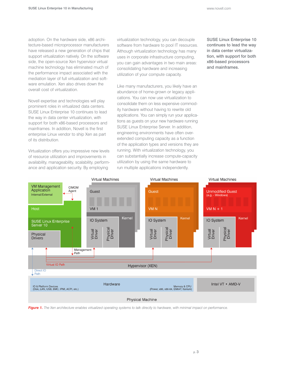adoption. On the hardware side, x86 architecture-based microprocessor manufacturers have released a new generation of chips that support virtualization natively. On the software side, the open-source Xen hypervisor virtual machine technology has eliminated much of the performance impact associated with the mediation layer of full virtualization and software emulation. Xen also drives down the overall cost of virtualization.

Novell expertise and technologies will play prominent roles in virtualized data centers. SUSE Linux Enterprise 10 continues to lead the way in data center virtualization, with support for both x86-based processors and mainframes. In addition, Novell is the first enterprise Linux vendor to ship Xen as part of its distribution.

Virtualization offers you impressive new levels of resource utilization and improvements in availability, manageability, scalability, performance and application security. By employing

virtualization technology, you can decouple software from hardware to pool IT resources. Although virtualization technology has many uses in corporate infrastructure computing, you can gain advantages in two main areas: consolidating hardware and increasing utilization of your compute capacity.

Like many manufacturers, you likely have an abundance of home-grown or legacy applications. You can now use virtualization to consolidate them on less expensive commodity hardware without having to rewrite old applications. You can simply run your applications as guests on your new hardware running SUSE Linux Enterprise Server. In addition, engineering environments have often overextended computing capacity as a function of the application types and versions they are running. With virtualization technology, you can substantially increase compute-capacity utilization by using the same hardware to run multiple applications independently.

SUSE Linux Enterprise 10 continues to lead the way in data center virtualization, with support for both x86-based processors and mainframes.



*Figure 1. The Xen architecture enables virtualized operating systems to talk directly to hardware, with minimal impact on performance.*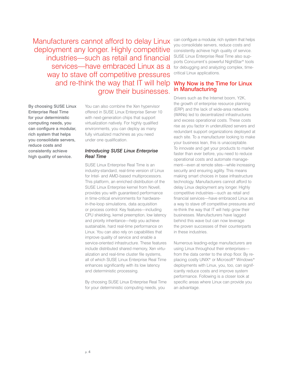Manufacturers cannot afford to delay Linux deployment any longer. Highly competitive industries—such as retail and financial services—have embraced Linux as a way to stave off competitive pressures and re-think the way that IT will help grow their businesses.

By choosing SUSE Linux Enterprise Real Time for your deterministic computing needs, you can configure a modular, rich system that helps you consolidate servers, reduce costs and consistently achieve high quality of service.

You can also combine the Xen hypervisor offered in SUSE Linux Enterprise Server 10 with next-generation chips that support virtualization natively. For highly qualified environments, you can deploy as many fully virtualized machines as you need under one qualification.

#### *Introducing SUSE Linux Enterprise Real Time*

SUSE Linux Enterprise Real Time is an industry-standard, real-time version of Linux for Intel- and AMD-based multiprocessors. This platform, an enriched distribution of the SUSE Linux Enterprise kernel from Novell, provides you with guaranteed performance in time-critical environments for hardwarein-the-loop simulations, data acquisition or process control. Key features—including CPU shielding, kernel preemption, low latency and priority inheritance—help you achieve sustainable, hard real-time performance on Linux. You can also rely on capabilities that improve quality of service and enable a service-oriented infrastructure. These features include distributed shared memory, Xen virtualization and real-time cluster file systems, all of which SUSE Linux Enterprise Real Time enhances significantly with its low latency and deterministic processing.

By choosing SUSE Linux Enterprise Real Time for your deterministic computing needs, you

can configure a modular, rich system that helps you consolidate servers, reduce costs and consistently achieve high quality of service. SUSE Linux Enterprise Real Time also supports Concurrent's powerful NightStar\* tools for debugging and analyzing complex, timecritical Linux applications.

#### Why Now is the Time for Linux in Manufacturing

Drivers such as the Internet boom, Y2K, the growth of enterprise resource planning (ERP) and the lack of wide-area networks (WANs) led to decentralized infrastructures and excess operational costs. These costs rise as you factor in underutilized servers and redundant support organizations deployed at each site. To a manufacturer looking to make your business lean, this is unacceptable. To innovate and get your products to market faster than ever before, you need to reduce operational costs and automate management—even at remote sites—while increasing security and ensuring agility. This means making smart choices in base infrastructure technology. Manufacturers cannot afford to delay Linux deployment any longer. Highly competitive industries—such as retail and financial services—have embraced Linux as a way to stave off competitive pressures and re-think the way that IT will help grow their businesses. Manufacturers have lagged behind this wave but can now leverage the proven successes of their counterparts in these industries.

Numerous leading-edge manufacturers are using Linux throughout their enterprises from the data center to the shop floor. By replacing costly UNIX\* or Microsoft\* Windows\* deployments with Linux, you, too, can significantly reduce costs and improve system performance. Following is a closer look at specific areas where Linux can provide you an advantage.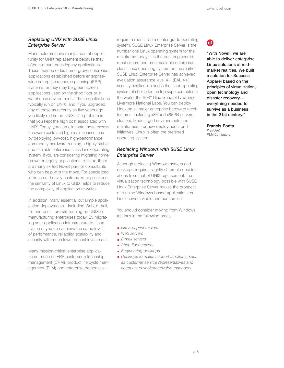#### *Replacing UNIX with SUSE Linux Enterprise Server*

Manufacturers have many areas of opportunity for UNIX replacement because they often run numerous legacy applications. These may be older, home-grown enterprise applications established before enterprisewide enterprise resource planning (ERP) systems, or they may be green-screen applications used on the shop floor or in warehouse environments. These applications typically run on UNIX, and if you upgraded any of these as recently as five years ago, you likely did so on UNIX. The problem is that you kept the high cost associated with UNIX. Today, you can eliminate those excess hardware costs and high maintenance fees by deploying low-cost, high-performance commodity hardware running a highly stable and scalable enterprise-class Linux operating system. If you are considering migrating homegrown or legacy applications to Linux, there are many skilled Novell partner consultants who can help with the move. For specialized in-house or heavily customized applications, the similarity of Linux to UNIX helps to reduce the complexity of application re-writes.

In addition, many essential but simple application deployments—including Web, e-mail, file and print—are still running on UNIX in manufacturing enterprises today. By migrating your application infrastructure to Linux systems, you can achieve the same levels of performance, reliability, scalability and security with much lower annual investment.

Many mission-critical enterprise applications—such as ERP, customer relationship management (CRM), product life cycle management (PLM) and enterprise databases—

require a robust, data center-grade operating system. SUSE Linux Enterprise Server is the number one Linux operating system for the mainframe today. It is the best-engineered, most secure and most scalable enterpriseclass Linux operating system on the market. SUSE Linux Enterprise Server has achieved evaluation assurance level 4+ (EAL 4+) security certification and is the Linux operating system of choice for the top supercomputer in the world, the IBM\* Blue Gene of Lawrence Livermore National Labs. You can deploy Linux on all major enterprise hardware architectures, including x86 and x86-64 servers, clusters, blades, grid environments and mainframes. For new deployments or IT initiatives, Linux is often the preferred operating system.

#### *Replacing Windows with SUSE Linux Enterprise Server*

Although replacing Windows servers and desktops requires slightly different considerations from that of UNIX replacement, the virtualization technology possible with SUSE Linux Enterprise Server makes the prospect of running Windows-based applications on Linux servers viable and economical.

You should consider moving from Windows to Linux in the following areas:

- *File and print servers*
- *Web servers*
- *E-mail servers*
- *Shop floor servers*
- *Engineering desktops*
- *Desktops for sales support functions, such as customer service representatives and accounts payable/receivable managers*

# 6

"With Novell, we are able to deliver enterprise Linux solutions at midmarket realities. We built a solution for Success Apparel based on the principles of virtualization, open technology and disaster recovery everything needed to survive as a business in the 21st century."

**Francis Poeta** *President* P&M Computers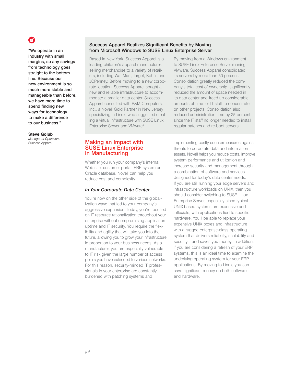### (E)

"We operate in an industry with small margins, so any savings from technology goes straight to the bottom line. Because our new environment is so much more stable and manageable than before, we have more time to spend finding new ways for technology to make a difference to our business."

#### **Steve Golub**

*Manager of Operations* Success Apparel

#### Success Apparel Realizes Significant Benefits by Moving from Microsoft Windows to SUSE Linux Enterprise Server

Based in New York, Success Apparel is a leading children's apparel manufacturer, selling merchandise to a variety of retailers, including Wal-Mart, Target, Kohl's and JCPenney. Before moving to a new corporate location, Success Apparel sought a new and reliable infrastructure to accommodate a smaller data center. Success Apparel consulted with P&M Computers, Inc., a Novell Gold Partner in New Jersey specializing in Linux, who suggested creating a virtual infrastructure with SUSE Linux Enterprise Server and VMware\*.

By moving from a Windows environment to SUSE Linux Enterprise Server running VMware, Success Apparel consolidated its servers by more than 50 percent. Consolidation greatly reduced the company's total cost of ownership, significantly reduced the amount of space needed in its data center and freed up considerable amounts of time for IT staff to concentrate on other projects. Consolidation also reduced administration time by 25 percent since the IT staff no longer needed to install regular patches and re-boot servers.

#### Making an Impact with SUSE Linux Enterprise in Manufacturing

Whether you run your company's internal Web site, customer portal, ERP system or Oracle database, Novell can help you reduce cost and complexity.

#### *In Your Corporate Data Center*

You're now on the other side of the globalization wave that led to your company's aggressive expansion. Today, you're focused on IT resource rationalization throughout your enterprise without compromising application uptime and IT security. You require the flexibility and agility that will take you into the future, allowing you to grow your infrastructure in proportion to your business needs. As a manufacturer, you are especially vulnerable to IT risk given the large number of access points you have extended to various networks. For this reason, security-minded IT professionals in your enterprise are constantly burdened with patching systems and

implementing costly countermeasures against threats to corporate data and information assets. Novell helps you reduce costs, improve system performance and utilization and increase security and management through a combination of software and services designed for today's data center needs. If you are still running your edge servers and infrastructure workloads on UNIX, then you should consider switching to SUSE Linux Enterprise Server, especially since typical UNIX-based systems are expensive and inflexible, with applications tied to specific hardware. You'll be able to replace your expensive UNIX boxes and infrastructure with a rugged enterprise-class operating system that delivers reliability, scalability and security—and saves you money. In addition, if you are considering a refresh of your ERP systems, this is an ideal time to examine the underlying operating system for your ERP applications. By moving to Linux, you can save significant money on both software and hardware.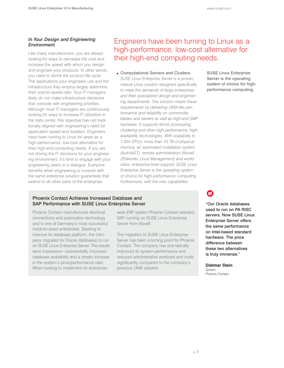#### *In Your Design and Engineering Environment*

Like many manufacturers, you are always looking for ways to decrease the cost and increase the speed with which you design and engineer your products. In other words, you need to shrink the product life cycle. The applications your engineers use and the infrastructure they employ largely determine their cost-to-speed ratio. Your IT managers likely do not make infrastructure decisions that coincide with engineering priorities. Although most IT managers are continuously looking for ways to increase IT utilization in the data center, this objective has not traditionally aligned with engineering's need for application speed and isolation. Engineers have been turning to Linux for years as a high-performance, low-cost alternative for their high-end computing needs. If you are not driving the IT decisions for your engineering environment, it's time to engage with your engineering peers in a dialogue. Everyone benefits when engineering is covered with the same enterprise solution guarantees that extend to all other parts of the enterprise.

### Engineers have been turning to Linux as a high-performance, low-cost alternative for their high-end computing needs.

Computational Servers and Clusters. *SUSE Linux Enterprise Server is a proven, mature Linux solution designed specifically to meet the demands of large enterprises and their specialized design and engineering departments. The solution meets these requirements by delivering UNIX-like performance and reliability on commodity blades and servers as well as high-end SMP hardware. It supports 64-bit processing, clustering and other high-performance, highavailability technologies. With scalability to 1,024 CPUs, more than 10 TB of physical memory, an automated installation system (AutoYaST), remote administration (Novell ZENworks Linux Management) and worldclass, enterprise-level support, SUSE Linux Enterprise Server is the operating system of choice for high-performance computing. Furthermore, with the new capabilities*

#### SUSE Linux Enterprise Server is the operating system of choice for highperformance computing.

# (⊟

"Our Oracle databases used to run on PA RISC servers. Now SUSE Linux Enterprise Server offers the same performance on Intel-based standard hardware. The price difference between these two alternatives is truly immense."

**Dietmar Stein**  *System* 

Phoenix Contact

#### Phoenix Contact Achieves Increased Database and SAP Performance with SUSE Linux Enterprise Server

Phoenix Contact manufactures electrical connections and automation technology and is one of Germany's most successful medium-sized enterprises. Seeking to improve its database platform, the company migrated its Oracle databases to run on SUSE Linux Enterprise Server. The results were impressive—substantially improved database availability and a drastic increase in the system's price/performance ratio. When looking to implement an enterprisewide ERP system Phoenix Contact selected SAP running on SUSE Linux Enterprise Server from Novell.

The migration to SUSE Linux Enterprise Server has been a turning point for Phoenix Contact. The company has dramatically improved its system performance and reduced administrative workload and costs significantly compared to the company's previous UNIX solution.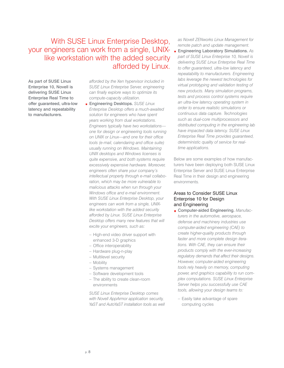With SUSE Linux Enterprise Desktop, your engineers can work from a single, UNIXlike workstation with the added security afforded by Linux.

As part of SUSE Linux Enterprise 10, Novell is delivering SUSE Linux Enterprise Real Time to offer guaranteed, ultra-low latency and repeatability to manufacturers.

*afforded by the Xen hypervisor included in SUSE Linux Enterprise Server, engineering can finally explore ways to optimize its compute-capacity utilization.*

- Engineering Desktops. *SUSE Linux Enterprise Desktop offers a much-awaited solution for engineers who have spent years working from dual workstations. Engineers typically have two workstations one for design or engineering tools running on UNIX or Linux—and one for their office tools (e-mail, calendaring and office suite) usually running on Windows. Maintaining UNIX desktops and Windows licenses is quite expensive, and both systems require excessively expensive hardware. Moreover, engineers often share your company's intellectual property through e-mail collaboration, which may be more vulnerable to malicious attacks when run through your Windows office and e-mail environment. With SUSE Linux Enterprise Desktop, your engineers can work from a single, UNIXlike workstation with the added security afforded by Linux. SUSE Linux Enterprise Desktop offers many new features that will excite your engineers, such as:*
	- High-end video driver support with enhanced 3-D graphics
	- Office interoperability
	- Hardware plug-n-play
	- Multilevel security
	- Mobility
	- Systems management
	- Software development tools
	- The ability to create clean-room environments

*SUSE Linux Enterprise Desktop comes with Novell AppArmor application security, YaST and AutoYaST installation tools as well*

*as Novell ZENworks Linux Management for remote patch and update management.* Engineering Laboratory Simulations. *As part of SUSE Linux Enterprise 10, Novell is delivering SUSE Linux Enterprise Real Time to offer guaranteed, ultra-low latency and repeatability to manufacturers. Engineering labs leverage the newest technologies for virtual prototyping and validation testing of new products. Many simulation programs, tests and process control systems require an ultra-low latency operating system in order to ensure realistic simulations or continuous data capture. Technologies such as dual-core multiprocessors and distributed computing in the engineering lab have impacted data latency. SUSE Linux Enterprise Real Time provides guaranteed, deterministic quality of service for realtime applications.*

Below are some examples of how manufacturers have been deploying both SUSE Linux Enterprise Server and SUSE Linux Enterprise Real Time in their design and engineering environments.

#### Areas to Consider SUSE Linux Enterprise 10 for Design and Engineering

- Computer-aided Engineering. *Manufacturers in the automotive, aerospace, defense and machinery industries use computer-aided engineering (CAE) to create higher-quality products through faster and more complete design iterations. With CAE, they can ensure their products comply with the ever-increasing regulatory demands that affect their designs. However, computer-aided engineering tools rely heavily on memory, computing power, and graphics capability to run complex computations. SUSE Linux Enterprise Server helps you successfully use CAE tools, allowing your design teams to:*
	- Easily take advantage of spare computing cycles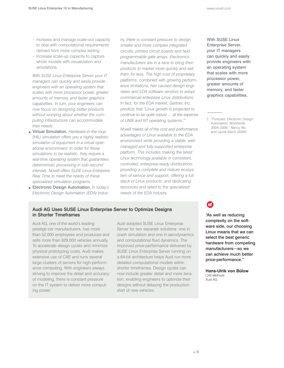- Increase and manage scale-out capacity to deal with computational requirements derived from more complex testing
- Increase scale-up capacity to capture whole models with visualization and simulations

*With SUSE Linux Enterprise Server, your IT managers can quickly and easily provide engineers with an operating system that scales with more processor power, greater amounts of memory, and faster graphics capabilities. In turn, your engineers can now focus on designing better products without worrying about whether the computing infrastructure can accommodate their needs.*

- Virtual Simulation. *Hardware-in-the-loop (HIL) simulation offers you a highly realistic simulation of equipment in a virtual operational environment. In order for these simulations to be realistic, they require a real-time operating system that guarantees deterministic processing in sub-second intervals. Novell offers SUSE Linux Enterprise Real Time to meet the needs of these specialized simulation programs.*
- **Electronic Design Automation.** In today's *Electronic Design Automation (EDA) indus-*

*try, there is constant pressure to design smaller and more complex integrated circuits, printed circuit boards and field programmable gate arrays. Electronics manufacturers are in a race to bring their products to market more quickly and sell them for less. The high cost of proprietary platforms, combined with growing performance limitations, has caused design engineers and EDA software vendors to adopt commercial enterprise Linux distributions. In fact, for the EDA market, Gartner, Inc. predicts that "Linux growth is projected to continue to be quite robust … at the expense of UNIX and NT operating systems."*†

*Novell makes all of the cost and performance advantages of Linux available to the EDA environment while providing a stable, wellmanaged and fully-supported enterprise platform. This includes making the latest Linux technology available in consistent, controlled, enterprise-ready distributions; providing a complete and mature ecosystem of service and support; offering a full stack of Linux products; and dedicating resources and talent to the specialized needs of the EDA industry.*

#### Audi AG Uses SUSE Linux Enterprise Server to Optimize Designs in Shorter Timeframes

Audi AG, one of the world's leading prestige car manufacturers, has more than 52,000 employees and produces and sells more than 829,000 vehicles annually. To accelerate design cycles and minimize physical prototyping costs, Audi makes extensive use of CAE and runs several large clusters of servers for high-performance computing. With engineers always striving to improve the detail and accuracy of modeling, there is constant pressure on the IT system to deliver more computing power.

Audi adopted SUSE Linux Enterprise Server for two separate solutions: one in crash simulation and one in aerodynamics and computational fluid dynamics. The improved price-performance delivered by SUSE Linux Enterprise Server running on a 64-bit architecture helps Audi run more detailed computational models within shorter timeframes. Design cycles can now include greater detail and more iteration, enabling engineers to optimize their designs without delaying the production start of new vehicles.

With SUSE Linux Enterprise Server, your IT managers can quickly and easily provide engineers with an operating system that scales with more processor power, greater amounts of memory, and faster graphics capabilities.

† *"Forecast: Electronic Design Automation, Worldwide, 2004–2009," Nancy Wu and Laurie Balch (2004)*

### E

"As well as reducing complexity on the software side, our choosing Linux means that we can select the best generic hardware from competing manufacturers—so we can achieve much better price-performance."

**Hans-Ulrik von Bülow**  *CAE-Methods*  Audi AG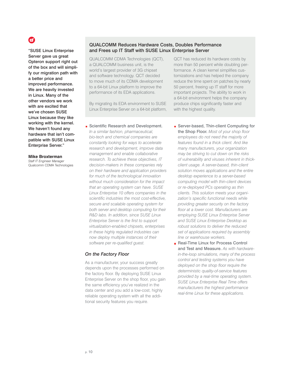# Ε.

"SUSE Linux Enterprise Server gave us great Opteron support right out of the box and will simplify our migration path with a better price and improved performance. We are heavily invested in Linux. Many of the other vendors we work with are excited that we've chosen SUSE Linux because they like working with the kernel. We haven't found any hardware that isn't compatible with SUSE Linux Enterprise Server."

**Mike Broxterman**  *Staff IT Engineer Manager*  Qualcomm CDMA Technologies

#### QUALCOMM Reduces Hardware Costs, Doubles Performance and Frees up IT Staff with SUSE Linux Enterprise Server

QUALCOMM CDMA Technologies (QCT), a QUALCOMM business unit, is the world's largest provider of 3G chipset and software technology. QCT decided to move much of its CDMA development to a 64-bit Linux platform to improve the performance of its EDA applications.

By migrating its EDA environment to SUSE Linux Enterprise Server on a 64-bit platform,

- QCT has reduced its hardware costs by more than 50 percent while doubling performance. A clean kernel simplifies customizations and has helped the company reduce the time spent on patches by nearly 50 percent, freeing up IT staff for more important projects. The ability to work in a 64-bit environment helps the company produce chips significantly faster and with the highest quality.
- Scientific Research and Development. *In a similar fashion, pharmaceutical, bio-tech and chemical companies are constantly looking for ways to accelerate research and development, improve data management and enable collaborative research. To achieve these objectives, IT decision-makers in these companies rely on their hardware and application providers for much of the technological innovation without much consideration for the impact that an operating system can have. SUSE Linux Enterprise 10 offers companies in the scientific industries the most cost-effective, secure and scalable operating system for both server and desktop computing for their R&D labs. In addition, since SUSE Linux Enterprise Server is the first to support virtualization-enabled chipsets, enterprises in these highly regulated industries can now deploy multiple instances of their software per re-qualified guest.*

#### *On the Factory Floor*

As a manufacturer, your success greatly depends upon the processes performed on the factory floor. By deploying SUSE Linux Enterprise Server on the shop floor, you gain the same efficiency you've realized in the data center and you add a low-cost, highly reliable operating system with all the additional security features you require.

Server-based, Thin-client Computing for the Shop Floor. *Most of your shop floor employees do not need the majority of features found in a thick client. And like many manufacturers, your organization may be striving to cut down on the risks of vulnerability and viruses inherent in thickclient usage. A server-based, thin-client solution moves applications and the entire desktop experience to a server-based computing model with thin-client devices or re-deployed PCs operating as thin clients. This solution meets your organization's specific functional needs while providing greater security on the factory floor at a lower cost. Manufacturers are employing SUSE Linux Enterprise Server and SUSE Linux Enterprise Desktop as robust solutions to deliver the reduced set of applications required by assembly line or warehouse workers.*

Real-Time Linux for Process Control and Test and Measure. *As with hardwarein-the-loop simulations, many of the process control and testing systems you have deployed on the shop floor require the deterministic quality-of-service features provided by a real-time operating system. SUSE Linux Enterprise Real Time offers manufacturers the highest performance real-time Linux for these applications.*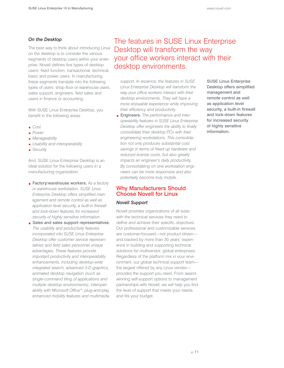#### *On the Desktop*

The best way to think about introducing Linux on the desktop is to consider the various segments of desktop users within your enterprise. Novell defines five types of desktop users: fixed function, transactional, technical, basic and power users. In manufacturing, these segments translate into the following types of users: shop floor or warehouse users, sales support, engineers, field sales and users in finance or accounting.

With SUSE Linux Enterprise Desktop, you benefit in the following areas:

- *Cost*
- *Power*
- *Manageability*
- *Usability and interoperability*
- *Security*

And, SUSE Linux Enterprise Desktop is an ideal solution for the following users in a manufacturing organization:

- Factory/warehouse workers. As a factory *or warehouse workstation, SUSE Linux Enterprise Desktop offers simplified management and remote control as well as application level security, a built-in firewall and lock-down features for increased security of highly sensitive information.*
- Sales and sales support representatives. *The usability and productivity features incorporated into SUSE Linux Enterprise Desktop offer customer service representatives and field sales personnel unique advantages. These features provide important productivity and interoperability enhancements, including desktop-wide integrated search, advanced 3-D graphics, animated desktop navigation (such as single-command tiling of applications and multiple desktop environments), interoperability with Microsoft Office\*; plug-and-play, enhanced mobility features and multimedia*

The features in SUSE Linux Enterprise Desktop will transform the way your office workers interact with their desktop environments.

*support. In essence, the features in SUSE Linux Enterprise Desktop will transform the way your office workers interact with their desktop environments. They will have a more enjoyable experience while improving their efficiency and productivity.*

Engineers. *The performance and interoperability features in SUSE Linux Enterprise Desktop offer engineers the ability to finally consolidate their desktop PCs with their engineering workstations. This consolidation not only produces substantial cost savings in terms of freed up hardware and reduced license costs, but also greatly impacts an engineer's daily productivity. By consolidating on one workstation engineers can be more responsive and also potentially become truly mobile.*

#### Why Manufacturers Should Choose Novell for Linux

#### *Novell Support*

Novell provides organizations of all sizes with the technical services they need to define and achieve their specific objectives. Our professional and customizable services are customer-focused—not product-driven and backed by more than 20 years' experience in building and supporting technical solutions for multivendor, global enterprises. Regardless of the platform mix in your environment, our global technical support team the largest offered by any Linux vendor provides the support you need. From awardwinning self-support options to management partnerships with Novell, we will help you find the level of support that meets your needs and fits your budget.

SUSE Linux Enterprise Desktop offers simplified management and remote control as well as application level security, a built-in firewall and lock-down features for increased security of highly sensitive information.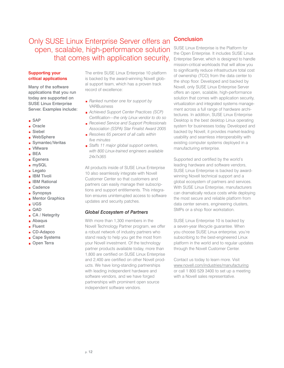Only SUSE Linux Enterprise Server offers an open, scalable, high-performance solution that comes with application security,

#### **Supporting your critical applications**

Many of the software applications that you run today are supported on SUSE Linux Enterprise Server. Examples include:

- SAP
- Oracle
- Siebel
- WebSphere
- Symantec/Veritas
- VMware
- BEA
- Egenera
- mySQL
- **Legato**
- **BM** Tivoli
- **BM** Rational
- Cadence
- Synopsys
- **Mentor Graphics**
- **UGS**
- QAD
- CA / Netegrity
- **Abaqus Fluent**
- CD-Adapco
- Cape Systems
- Open Terra

The entire SUSE Linux Enterprise 10 platform is backed by the award-winning Novell global support team, which has a proven track record of excellence:

- *Ranked number one for support by* VARBusiness
- *Achieved Support Center Practices (SCP) Certification—the only Linux vendor to do so*
- *Received Service and Support Professionals Association (SSPA) Star Finalist Award 2005*
- *Resolves 65 percent of all calls within five minutes*
- *Staffs 11 major global support centers, with 800 Linux-trained engineers available 24x7x365*

All products inside of SUSE Linux Enterprise 10 also seamlessly integrate with Novell Customer Center so that customers and partners can easily manage their subscriptions and support entitlements. This integration ensures uninterrupted access to software updates and security patches.

#### *Global Ecosystem of Partners*

With more than 1,300 members in the Novell Technology Partner program, we offer a robust network of industry partners who stand ready to help you get the most from your Novell investment. Of the technology partner products available today, more than 1,800 are certified on SUSE Linux Enterprise and 2,400 are certified on other Novell products. We have long-standing partnerships with leading independent hardware and software vendors, and we have forged partnerships with prominent open source independent software vendors.

#### **Conclusion**

SUSE Linux Enterprise is the Platform for the Open Enterprise. It includes SUSE Linux Enterprise Server, which is designed to handle mission-critical workloads that will allow you to significantly reduce infrastructure total cost of ownership (TCO) from the data center to the shop floor. Developed and backed by Novell, only SUSE Linux Enterprise Server offers an open, scalable, high-performance solution that comes with application security, virtualization and integrated systems management across a full range of hardware architectures. In addition, SUSE Linux Enterprise Desktop is the best desktop Linux operating system for businesses today. Developed and backed by Novell, it provides market-leading usability and seamless interoperability with existing computer systems deployed in a manufacturing enterprise.

Supported and certified by the world's leading hardware and software vendors, SUSE Linux Enterprise is backed by awardwinning Novell technical support and a global ecosystem of partners and services. With SUSE Linux Enterprise, manufacturers can dramatically reduce costs while deploying the most secure and reliable platform from data center servers, engineering clusters, SMPs or a shop floor workstation.

SUSE Linux Enterprise 10 is backed by a seven-year lifecycle guarantee. When you choose SUSE Linux enterprise, you're subscribing to the best-engineered Linux platform in the world and to regular updates through the Novell Customer Center.

Contact us today to learn more. Visit www.novell.com/industries/manufacturing or call 1 800 529 3400 to set up a meeting with a Novell sales representative.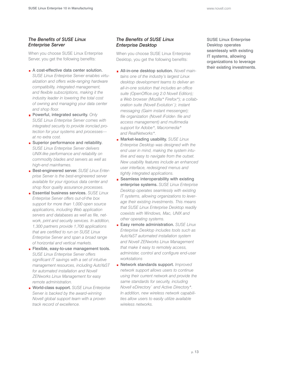#### *The Benefits of SUSE Linux Enterprise Server*

When you choose SUSE Linux Enterprise Server, you get the following benefits:

- A cost-effective data center solution. *SUSE Linux Enterprise Server enables virtualization and offers wide-ranging hardware compatibility, integrated management, and flexible subscriptions, making it the industry leader in lowering the total cost of owning and managing your data center and shop floor.*
- **Powerful, integrated security.** Only *SUSE Linux Enterprise Server comes with integrated security to provide ironclad protection for your systems and processes at no extra cost.*
- Superior performance and reliability. *SUSE Linux Enterprise Server delivers UNIX-like performance and reliability on commodity blades and servers as well as high-end mainframes.*
- Best-engineered server. *SUSE Linux Enterprise Server is the best-engineered server available for your rigorous data center and shop floor quality assurance processes.*
- Essential business services. *SUSE Linux Enterprise Server offers out-of-the box support for more than 1,000 open source applications, including Web application servers and databases as well as file, network, print and security services. In addition, 1,300 partners provide 1,700 applications that are certified to run on SUSE Linux Enterprise Server and span a broad range of horizontal and vertical markets.*
- Flexible, easy-to-use management tools. *SUSE Linux Enterprise Server offers significant IT savings with a set of intuitive management resources, including AutoYaST for automated installation and Novell ZENworks Linux Management for easy remote administration.*
- World-class support. *SUSE Linux Enterprise Server is backed by the award-winning Novell global support team with a proven track record of excellence.*

#### *The Benefits of SUSE Linux Enterprise Desktop*

When you choose SUSE Linux Enterprise Desktop, you get the following benefits:

- All-in-one desktop solution. *Novell maintains one of the industry's largest Linux desktop development teams to deliver an all-in-one solution that includes an office suite (OpenOffice.org 2.0 Novell Edition); a Web browser (Mozilla\* Firefox\*); a collaboration suite (Novell Evolution™); instant messaging (Gaim instant messenger); file organization (Novell iFolder® file and access management) and multimedia support for Adobe\*, Macromedia\* and RealNetworks\*.*
- Market-leading usability. *SUSE Linux Enterprise Desktop was designed with the end user in mind, making the system intuitive and easy to navigate from the outset. New usability features include an enhanced user interface, redesigned menus and tightly integrated applications.*
- Seamless interoperability with existing enterprise systems. *SUSE Linux Enterprise Desktop operates seamlessly with existing IT systems, allowing organizations to leverage their existing investments. This means that SUSE Linux Enterprise Desktop readily coexists with Windows, Mac, UNIX and other operating systems.*
- Easy remote administration. *SUSE Linux Enterprise Desktop includes tools such as AutoYaST automated installation system and Novell ZENworks Linux Management that make it easy to remotely access, administer, control and configure end-user workstations*
- Network standards support. *Improved network support allows users to continue using their current network and provide the same standards for security, including Novell eDirectory™ and Active Directory\*. In addition, new wireless network capabilities allow users to easily utilize available wireless networks.*

SUSE Linux Enterprise Desktop operates seamlessly with existing IT systems, allowing organizations to leverage their existing investments.